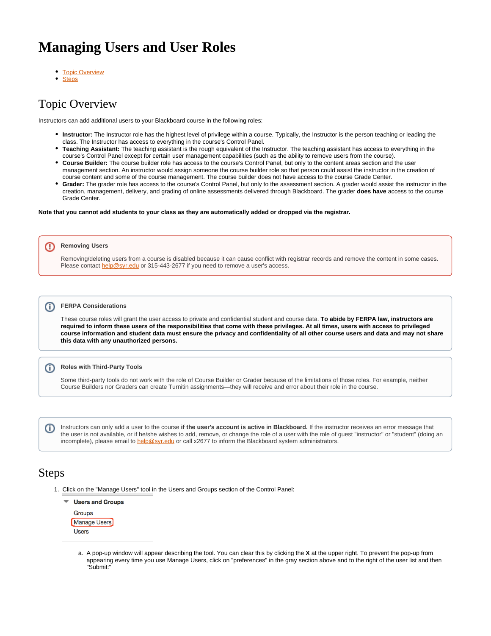# **Managing Users and User Roles**

- [Topic Overview](#page-0-0)
- $\bullet$ **[Steps](#page-0-1)**

# <span id="page-0-0"></span>Topic Overview

Instructors can add additional users to your Blackboard course in the following roles:

- **Instructor:** The Instructor role has the highest level of privilege within a course. Typically, the Instructor is the person teaching or leading the class. The Instructor has access to everything in the course's Control Panel.
- **Teaching Assistant:** The teaching assistant is the rough equivalent of the Instructor. The teaching assistant has access to everything in the course's Control Panel except for certain user management capabilities (such as the ability to remove users from the course).
- **Course Builder:** The course builder role has access to the course's Control Panel, but only to the content areas section and the user management section. An instructor would assign someone the course builder role so that person could assist the instructor in the creation of course content and some of the course management. The course builder does not have access to the course Grade Center.
- **Grader:** The grader role has access to the course's Control Panel, but only to the assessment section. A grader would assist the instructor in the creation, management, delivery, and grading of online assessments delivered through Blackboard. The grader **does have** access to the course Grade Center.

**Note that you cannot add students to your class as they are automatically added or dropped via the registrar.**

#### **Removing Users** ⊕

Removing/deleting users from a course is disabled because it can cause conflict with registrar records and remove the content in some cases. Please contact [help@syr.edu](mailto:help@syr.edu) or 315-443-2677 if you need to remove a user's access.

#### **FERPA Considerations** G)

These course roles will grant the user access to private and confidential student and course data. **To abide by FERPA law, instructors are required to inform these users of the responsibilities that come with these privileges. At all times, users with access to privileged course information and student data must ensure the privacy and confidentiality of all other course users and data and may not share this data with any unauthorized persons.**

### **Roles with Third-Party Tools**

Some third-party tools do not work with the role of Course Builder or Grader because of the limitations of those roles. For example, neither Course Builders nor Graders can create Turnitin assignments—they will receive and error about their role in the course.

Instructors can only add a user to the course **if the user's account is active in Blackboard.** If the instructor receives an error message that the user is not available, or if he/she wishes to add, remove, or change the role of a user with the role of guest "instructor" or "student" (doing an incomplete), please email to [help@syr.edu](mailto:help@syr.edu) or call x2677 to inform the Blackboard system administrators.

## <span id="page-0-1"></span>Steps

(j)

ത

1. Click on the "Manage Users" tool in the Users and Groups section of the Control Panel:



a. A pop-up window will appear describing the tool. You can clear this by clicking the **X** at the upper right. To prevent the pop-up from appearing every time you use Manage Users, click on "preferences" in the gray section above and to the right of the user list and then "Submit:"